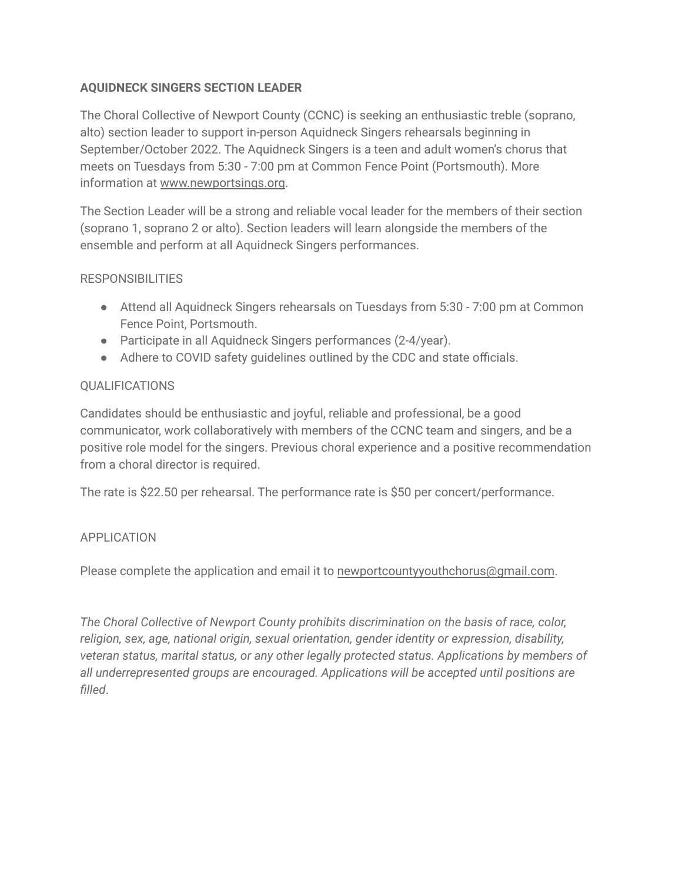## **AQUIDNECK SINGERS SECTION LEADER**

The Choral Collective of Newport County (CCNC) is seeking an enthusiastic treble (soprano, alto) section leader to support in-person Aquidneck Singers rehearsals beginning in September/October 2022. The Aquidneck Singers is a teen and adult women's chorus that meets on Tuesdays from 5:30 - 7:00 pm at Common Fence Point (Portsmouth). More information at [www.newportsings.org](http://www.newportsings.org).

The Section Leader will be a strong and reliable vocal leader for the members of their section (soprano 1, soprano 2 or alto). Section leaders will learn alongside the members of the ensemble and perform at all Aquidneck Singers performances.

## **RESPONSIBILITIES**

- Attend all Aquidneck Singers rehearsals on Tuesdays from 5:30 7:00 pm at Common Fence Point, Portsmouth.
- Participate in all Aquidneck Singers performances (2-4/year).
- Adhere to COVID safety quidelines outlined by the CDC and state officials.

## QUALIFICATIONS

Candidates should be enthusiastic and joyful, reliable and professional, be a good communicator, work collaboratively with members of the CCNC team and singers, and be a positive role model for the singers. Previous choral experience and a positive recommendation from a choral director is required.

The rate is \$22.50 per rehearsal. The performance rate is \$50 per concert/performance.

## APPLICATION

Please complete the application and email it to [newportcountyyouthchorus@gmail.com](mailto:newportcountyyouthchorus@gmail.com).

*The Choral Collective of Newport County prohibits discrimination on the basis of race, color, religion, sex, age, national origin, sexual orientation, gender identity or expression, disability, veteran status, marital status, or any other legally protected status. Applications by members of all underrepresented groups are encouraged. Applications will be accepted until positions are filled*.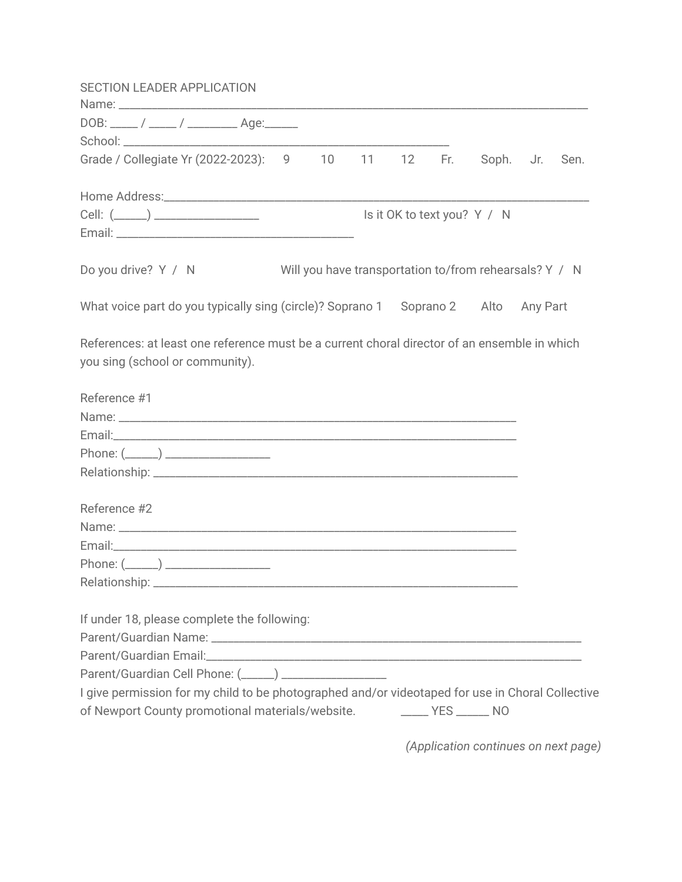| <b>SECTION LEADER APPLICATION</b>                                                                |  |  |                             |  |
|--------------------------------------------------------------------------------------------------|--|--|-----------------------------|--|
|                                                                                                  |  |  |                             |  |
| DOB: _____ / _____ / ___________ Age:_______                                                     |  |  |                             |  |
|                                                                                                  |  |  |                             |  |
| Grade / Collegiate Yr (2022-2023): 9 10 11 12 Fr. Soph. Jr. Sen.                                 |  |  |                             |  |
|                                                                                                  |  |  |                             |  |
|                                                                                                  |  |  | Is it OK to text you? Y / N |  |
|                                                                                                  |  |  |                             |  |
|                                                                                                  |  |  |                             |  |
| Do you drive? Y / N Will you have transportation to/from rehearsals? Y / N                       |  |  |                             |  |
|                                                                                                  |  |  |                             |  |
| What voice part do you typically sing (circle)? Soprano 1 Soprano 2 Alto Any Part                |  |  |                             |  |
|                                                                                                  |  |  |                             |  |
| References: at least one reference must be a current choral director of an ensemble in which     |  |  |                             |  |
| you sing (school or community).                                                                  |  |  |                             |  |
|                                                                                                  |  |  |                             |  |
| Reference #1                                                                                     |  |  |                             |  |
|                                                                                                  |  |  |                             |  |
|                                                                                                  |  |  |                             |  |
|                                                                                                  |  |  |                             |  |
|                                                                                                  |  |  |                             |  |
| Reference #2                                                                                     |  |  |                             |  |
|                                                                                                  |  |  |                             |  |
|                                                                                                  |  |  |                             |  |
|                                                                                                  |  |  |                             |  |
|                                                                                                  |  |  |                             |  |
|                                                                                                  |  |  |                             |  |
| If under 18, please complete the following:                                                      |  |  |                             |  |
|                                                                                                  |  |  |                             |  |
|                                                                                                  |  |  |                             |  |
| Parent/Guardian Cell Phone: (_____) __________________                                           |  |  |                             |  |
| I give permission for my child to be photographed and/or videotaped for use in Choral Collective |  |  |                             |  |
| of Newport County promotional materials/website. _________ YES ______ NO                         |  |  |                             |  |
|                                                                                                  |  |  |                             |  |

*(Application continues on next page)*